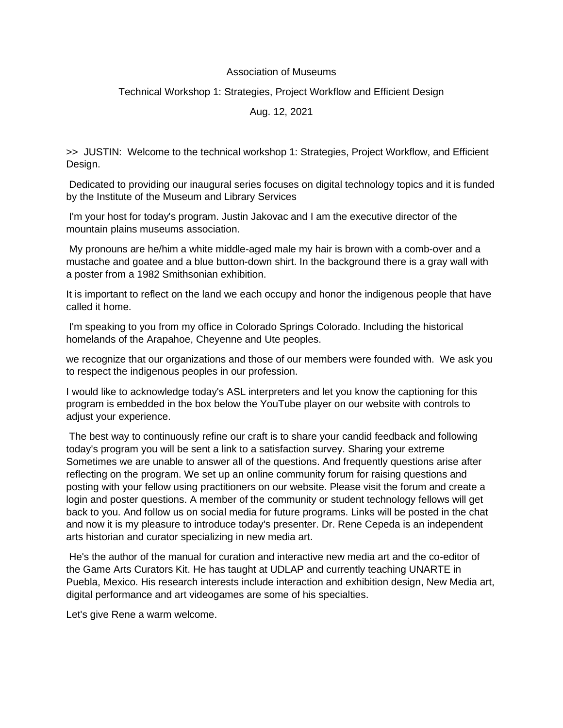## Association of Museums

## Technical Workshop 1: Strategies, Project Workflow and Efficient Design

Aug. 12, 2021

>> JUSTIN: Welcome to the technical workshop 1: Strategies, Project Workflow, and Efficient Design.

Dedicated to providing our inaugural series focuses on digital technology topics and it is funded by the Institute of the Museum and Library Services

I'm your host for today's program. Justin Jakovac and I am the executive director of the mountain plains museums association.

My pronouns are he/him a white middle-aged male my hair is brown with a comb-over and a mustache and goatee and a blue button-down shirt. In the background there is a gray wall with a poster from a 1982 Smithsonian exhibition.

It is important to reflect on the land we each occupy and honor the indigenous people that have called it home.

I'm speaking to you from my office in Colorado Springs Colorado. Including the historical homelands of the Arapahoe, Cheyenne and Ute peoples.

we recognize that our organizations and those of our members were founded with. We ask you to respect the indigenous peoples in our profession.

I would like to acknowledge today's ASL interpreters and let you know the captioning for this program is embedded in the box below the YouTube player on our website with controls to adjust your experience.

The best way to continuously refine our craft is to share your candid feedback and following today's program you will be sent a link to a satisfaction survey. Sharing your extreme Sometimes we are unable to answer all of the questions. And frequently questions arise after reflecting on the program. We set up an online community forum for raising questions and posting with your fellow using practitioners on our website. Please visit the forum and create a login and poster questions. A member of the community or student technology fellows will get back to you. And follow us on social media for future programs. Links will be posted in the chat and now it is my pleasure to introduce today's presenter. Dr. Rene Cepeda is an independent arts historian and curator specializing in new media art.

He's the author of the manual for curation and interactive new media art and the co-editor of the Game Arts Curators Kit. He has taught at UDLAP and currently teaching UNARTE in Puebla, Mexico. His research interests include interaction and exhibition design, New Media art, digital performance and art videogames are some of his specialties.

Let's give Rene a warm welcome.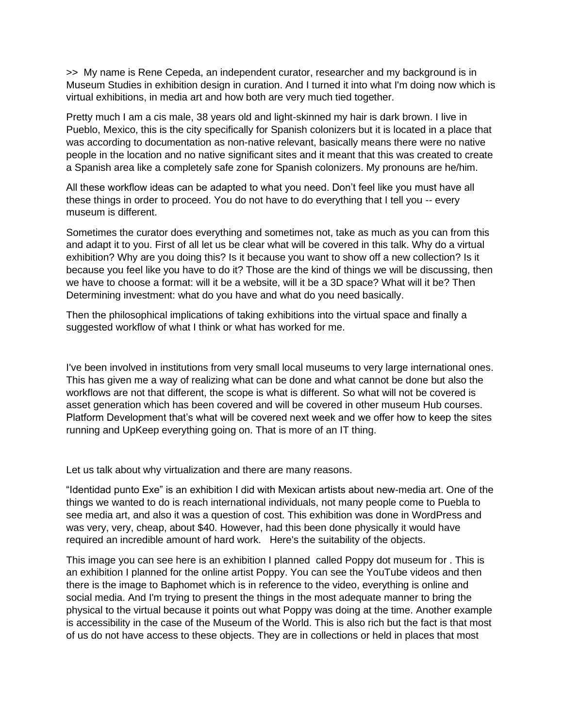>> My name is Rene Cepeda, an independent curator, researcher and my background is in Museum Studies in exhibition design in curation. And I turned it into what I'm doing now which is virtual exhibitions, in media art and how both are very much tied together.

Pretty much I am a cis male, 38 years old and light-skinned my hair is dark brown. I live in Pueblo, Mexico, this is the city specifically for Spanish colonizers but it is located in a place that was according to documentation as non-native relevant, basically means there were no native people in the location and no native significant sites and it meant that this was created to create a Spanish area like a completely safe zone for Spanish colonizers. My pronouns are he/him.

All these workflow ideas can be adapted to what you need. Don't feel like you must have all these things in order to proceed. You do not have to do everything that I tell you -- every museum is different.

Sometimes the curator does everything and sometimes not, take as much as you can from this and adapt it to you. First of all let us be clear what will be covered in this talk. Why do a virtual exhibition? Why are you doing this? Is it because you want to show off a new collection? Is it because you feel like you have to do it? Those are the kind of things we will be discussing, then we have to choose a format: will it be a website, will it be a 3D space? What will it be? Then Determining investment: what do you have and what do you need basically.

Then the philosophical implications of taking exhibitions into the virtual space and finally a suggested workflow of what I think or what has worked for me.

I've been involved in institutions from very small local museums to very large international ones. This has given me a way of realizing what can be done and what cannot be done but also the workflows are not that different, the scope is what is different. So what will not be covered is asset generation which has been covered and will be covered in other museum Hub courses. Platform Development that's what will be covered next week and we offer how to keep the sites running and UpKeep everything going on. That is more of an IT thing.

Let us talk about why virtualization and there are many reasons.

"Identidad punto Exe" is an exhibition I did with Mexican artists about new-media art. One of the things we wanted to do is reach international individuals, not many people come to Puebla to see media art, and also it was a question of cost. This exhibition was done in WordPress and was very, very, cheap, about \$40. However, had this been done physically it would have required an incredible amount of hard work. Here's the suitability of the objects.

This image you can see here is an exhibition I planned called Poppy dot museum for . This is an exhibition I planned for the online artist Poppy. You can see the YouTube videos and then there is the image to Baphomet which is in reference to the video, everything is online and social media. And I'm trying to present the things in the most adequate manner to bring the physical to the virtual because it points out what Poppy was doing at the time. Another example is accessibility in the case of the Museum of the World. This is also rich but the fact is that most of us do not have access to these objects. They are in collections or held in places that most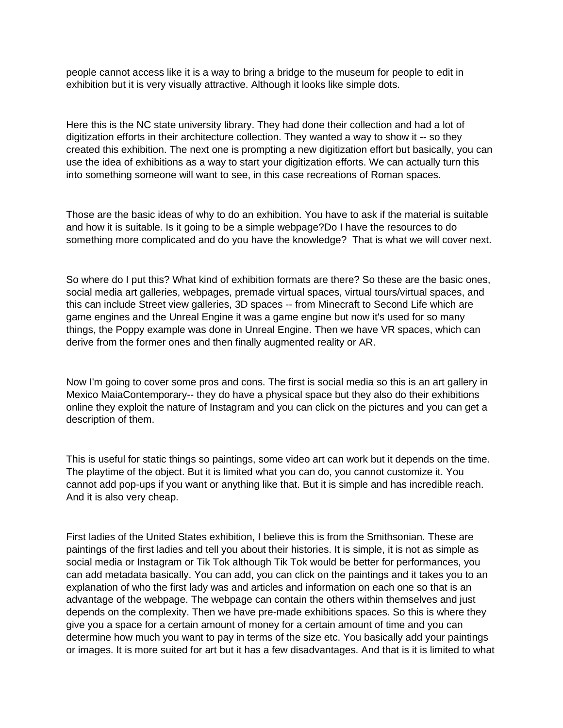people cannot access like it is a way to bring a bridge to the museum for people to edit in exhibition but it is very visually attractive. Although it looks like simple dots.

Here this is the NC state university library. They had done their collection and had a lot of digitization efforts in their architecture collection. They wanted a way to show it -- so they created this exhibition. The next one is prompting a new digitization effort but basically, you can use the idea of exhibitions as a way to start your digitization efforts. We can actually turn this into something someone will want to see, in this case recreations of Roman spaces.

Those are the basic ideas of why to do an exhibition. You have to ask if the material is suitable and how it is suitable. Is it going to be a simple webpage?Do I have the resources to do something more complicated and do you have the knowledge? That is what we will cover next.

So where do I put this? What kind of exhibition formats are there? So these are the basic ones, social media art galleries, webpages, premade virtual spaces, virtual tours/virtual spaces, and this can include Street view galleries, 3D spaces -- from Minecraft to Second Life which are game engines and the Unreal Engine it was a game engine but now it's used for so many things, the Poppy example was done in Unreal Engine. Then we have VR spaces, which can derive from the former ones and then finally augmented reality or AR.

Now I'm going to cover some pros and cons. The first is social media so this is an art gallery in Mexico MaiaContemporary-- they do have a physical space but they also do their exhibitions online they exploit the nature of Instagram and you can click on the pictures and you can get a description of them.

This is useful for static things so paintings, some video art can work but it depends on the time. The playtime of the object. But it is limited what you can do, you cannot customize it. You cannot add pop-ups if you want or anything like that. But it is simple and has incredible reach. And it is also very cheap.

First ladies of the United States exhibition, I believe this is from the Smithsonian. These are paintings of the first ladies and tell you about their histories. It is simple, it is not as simple as social media or Instagram or Tik Tok although Tik Tok would be better for performances, you can add metadata basically. You can add, you can click on the paintings and it takes you to an explanation of who the first lady was and articles and information on each one so that is an advantage of the webpage. The webpage can contain the others within themselves and just depends on the complexity. Then we have pre-made exhibitions spaces. So this is where they give you a space for a certain amount of money for a certain amount of time and you can determine how much you want to pay in terms of the size etc. You basically add your paintings or images. It is more suited for art but it has a few disadvantages. And that is it is limited to what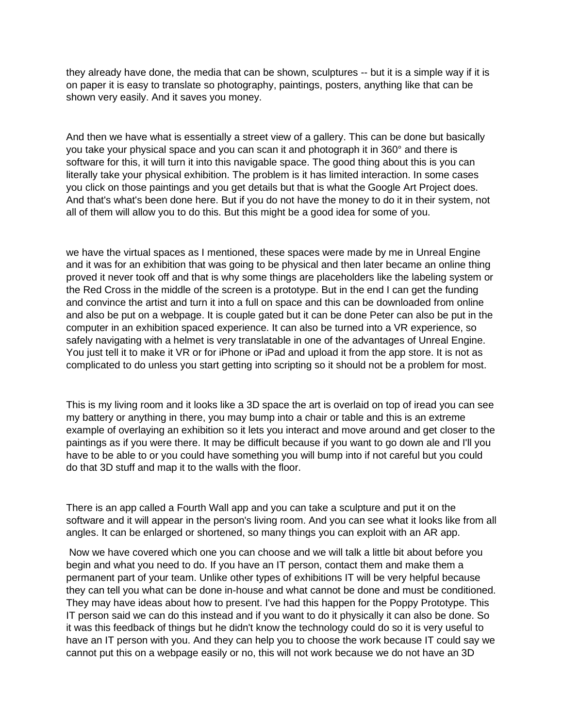they already have done, the media that can be shown, sculptures -- but it is a simple way if it is on paper it is easy to translate so photography, paintings, posters, anything like that can be shown very easily. And it saves you money.

And then we have what is essentially a street view of a gallery. This can be done but basically you take your physical space and you can scan it and photograph it in 360° and there is software for this, it will turn it into this navigable space. The good thing about this is you can literally take your physical exhibition. The problem is it has limited interaction. In some cases you click on those paintings and you get details but that is what the Google Art Project does. And that's what's been done here. But if you do not have the money to do it in their system, not all of them will allow you to do this. But this might be a good idea for some of you.

we have the virtual spaces as I mentioned, these spaces were made by me in Unreal Engine and it was for an exhibition that was going to be physical and then later became an online thing proved it never took off and that is why some things are placeholders like the labeling system or the Red Cross in the middle of the screen is a prototype. But in the end I can get the funding and convince the artist and turn it into a full on space and this can be downloaded from online and also be put on a webpage. It is couple gated but it can be done Peter can also be put in the computer in an exhibition spaced experience. It can also be turned into a VR experience, so safely navigating with a helmet is very translatable in one of the advantages of Unreal Engine. You just tell it to make it VR or for iPhone or iPad and upload it from the app store. It is not as complicated to do unless you start getting into scripting so it should not be a problem for most.

This is my living room and it looks like a 3D space the art is overlaid on top of iread you can see my battery or anything in there, you may bump into a chair or table and this is an extreme example of overlaying an exhibition so it lets you interact and move around and get closer to the paintings as if you were there. It may be difficult because if you want to go down ale and I'll you have to be able to or you could have something you will bump into if not careful but you could do that 3D stuff and map it to the walls with the floor.

There is an app called a Fourth Wall app and you can take a sculpture and put it on the software and it will appear in the person's living room. And you can see what it looks like from all angles. It can be enlarged or shortened, so many things you can exploit with an AR app.

Now we have covered which one you can choose and we will talk a little bit about before you begin and what you need to do. If you have an IT person, contact them and make them a permanent part of your team. Unlike other types of exhibitions IT will be very helpful because they can tell you what can be done in-house and what cannot be done and must be conditioned. They may have ideas about how to present. I've had this happen for the Poppy Prototype. This IT person said we can do this instead and if you want to do it physically it can also be done. So it was this feedback of things but he didn't know the technology could do so it is very useful to have an IT person with you. And they can help you to choose the work because IT could say we cannot put this on a webpage easily or no, this will not work because we do not have an 3D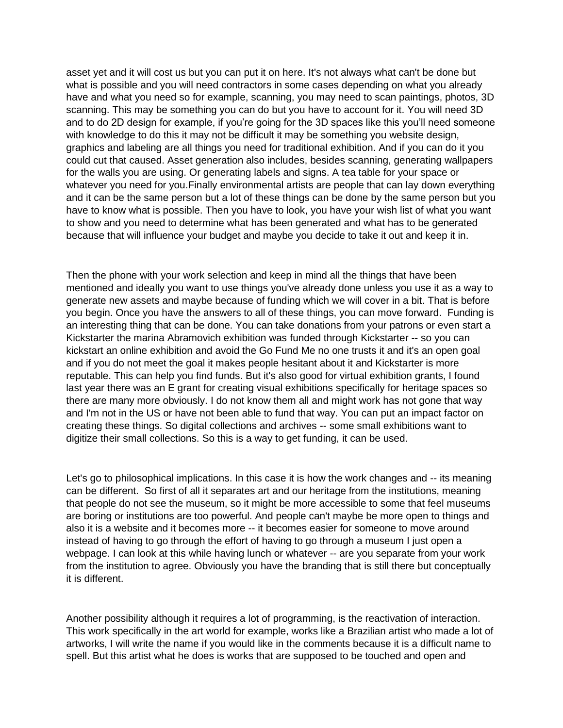asset yet and it will cost us but you can put it on here. It's not always what can't be done but what is possible and you will need contractors in some cases depending on what you already have and what you need so for example, scanning, you may need to scan paintings, photos, 3D scanning. This may be something you can do but you have to account for it. You will need 3D and to do 2D design for example, if you're going for the 3D spaces like this you'll need someone with knowledge to do this it may not be difficult it may be something you website design, graphics and labeling are all things you need for traditional exhibition. And if you can do it you could cut that caused. Asset generation also includes, besides scanning, generating wallpapers for the walls you are using. Or generating labels and signs. A tea table for your space or whatever you need for you.Finally environmental artists are people that can lay down everything and it can be the same person but a lot of these things can be done by the same person but you have to know what is possible. Then you have to look, you have your wish list of what you want to show and you need to determine what has been generated and what has to be generated because that will influence your budget and maybe you decide to take it out and keep it in.

Then the phone with your work selection and keep in mind all the things that have been mentioned and ideally you want to use things you've already done unless you use it as a way to generate new assets and maybe because of funding which we will cover in a bit. That is before you begin. Once you have the answers to all of these things, you can move forward. Funding is an interesting thing that can be done. You can take donations from your patrons or even start a Kickstarter the marina Abramovich exhibition was funded through Kickstarter -- so you can kickstart an online exhibition and avoid the Go Fund Me no one trusts it and it's an open goal and if you do not meet the goal it makes people hesitant about it and Kickstarter is more reputable. This can help you find funds. But it's also good for virtual exhibition grants, I found last year there was an E grant for creating visual exhibitions specifically for heritage spaces so there are many more obviously. I do not know them all and might work has not gone that way and I'm not in the US or have not been able to fund that way. You can put an impact factor on creating these things. So digital collections and archives -- some small exhibitions want to digitize their small collections. So this is a way to get funding, it can be used.

Let's go to philosophical implications. In this case it is how the work changes and -- its meaning can be different. So first of all it separates art and our heritage from the institutions, meaning that people do not see the museum, so it might be more accessible to some that feel museums are boring or institutions are too powerful. And people can't maybe be more open to things and also it is a website and it becomes more -- it becomes easier for someone to move around instead of having to go through the effort of having to go through a museum I just open a webpage. I can look at this while having lunch or whatever -- are you separate from your work from the institution to agree. Obviously you have the branding that is still there but conceptually it is different.

Another possibility although it requires a lot of programming, is the reactivation of interaction. This work specifically in the art world for example, works like a Brazilian artist who made a lot of artworks, I will write the name if you would like in the comments because it is a difficult name to spell. But this artist what he does is works that are supposed to be touched and open and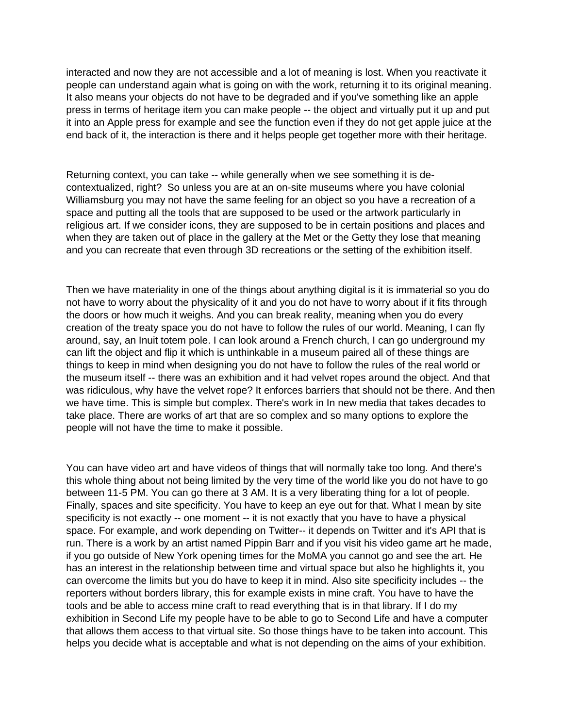interacted and now they are not accessible and a lot of meaning is lost. When you reactivate it people can understand again what is going on with the work, returning it to its original meaning. It also means your objects do not have to be degraded and if you've something like an apple press in terms of heritage item you can make people -- the object and virtually put it up and put it into an Apple press for example and see the function even if they do not get apple juice at the end back of it, the interaction is there and it helps people get together more with their heritage.

Returning context, you can take -- while generally when we see something it is decontextualized, right? So unless you are at an on-site museums where you have colonial Williamsburg you may not have the same feeling for an object so you have a recreation of a space and putting all the tools that are supposed to be used or the artwork particularly in religious art. If we consider icons, they are supposed to be in certain positions and places and when they are taken out of place in the gallery at the Met or the Getty they lose that meaning and you can recreate that even through 3D recreations or the setting of the exhibition itself.

Then we have materiality in one of the things about anything digital is it is immaterial so you do not have to worry about the physicality of it and you do not have to worry about if it fits through the doors or how much it weighs. And you can break reality, meaning when you do every creation of the treaty space you do not have to follow the rules of our world. Meaning, I can fly around, say, an Inuit totem pole. I can look around a French church, I can go underground my can lift the object and flip it which is unthinkable in a museum paired all of these things are things to keep in mind when designing you do not have to follow the rules of the real world or the museum itself -- there was an exhibition and it had velvet ropes around the object. And that was ridiculous, why have the velvet rope? It enforces barriers that should not be there. And then we have time. This is simple but complex. There's work in In new media that takes decades to take place. There are works of art that are so complex and so many options to explore the people will not have the time to make it possible.

You can have video art and have videos of things that will normally take too long. And there's this whole thing about not being limited by the very time of the world like you do not have to go between 11-5 PM. You can go there at 3 AM. It is a very liberating thing for a lot of people. Finally, spaces and site specificity. You have to keep an eye out for that. What I mean by site specificity is not exactly -- one moment -- it is not exactly that you have to have a physical space. For example, and work depending on Twitter-- it depends on Twitter and it's API that is run. There is a work by an artist named Pippin Barr and if you visit his video game art he made, if you go outside of New York opening times for the MoMA you cannot go and see the art. He has an interest in the relationship between time and virtual space but also he highlights it, you can overcome the limits but you do have to keep it in mind. Also site specificity includes -- the reporters without borders library, this for example exists in mine craft. You have to have the tools and be able to access mine craft to read everything that is in that library. If I do my exhibition in Second Life my people have to be able to go to Second Life and have a computer that allows them access to that virtual site. So those things have to be taken into account. This helps you decide what is acceptable and what is not depending on the aims of your exhibition.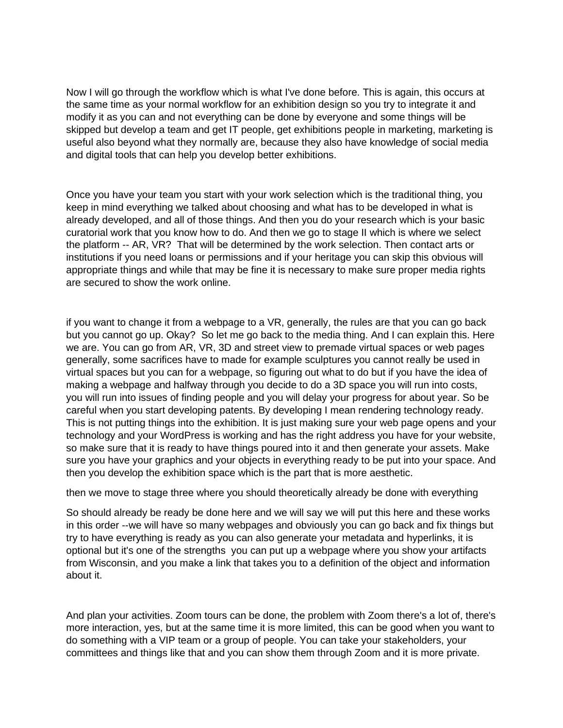Now I will go through the workflow which is what I've done before. This is again, this occurs at the same time as your normal workflow for an exhibition design so you try to integrate it and modify it as you can and not everything can be done by everyone and some things will be skipped but develop a team and get IT people, get exhibitions people in marketing, marketing is useful also beyond what they normally are, because they also have knowledge of social media and digital tools that can help you develop better exhibitions.

Once you have your team you start with your work selection which is the traditional thing, you keep in mind everything we talked about choosing and what has to be developed in what is already developed, and all of those things. And then you do your research which is your basic curatorial work that you know how to do. And then we go to stage II which is where we select the platform -- AR, VR? That will be determined by the work selection. Then contact arts or institutions if you need loans or permissions and if your heritage you can skip this obvious will appropriate things and while that may be fine it is necessary to make sure proper media rights are secured to show the work online.

if you want to change it from a webpage to a VR, generally, the rules are that you can go back but you cannot go up. Okay? So let me go back to the media thing. And I can explain this. Here we are. You can go from AR, VR, 3D and street view to premade virtual spaces or web pages generally, some sacrifices have to made for example sculptures you cannot really be used in virtual spaces but you can for a webpage, so figuring out what to do but if you have the idea of making a webpage and halfway through you decide to do a 3D space you will run into costs, you will run into issues of finding people and you will delay your progress for about year. So be careful when you start developing patents. By developing I mean rendering technology ready. This is not putting things into the exhibition. It is just making sure your web page opens and your technology and your WordPress is working and has the right address you have for your website, so make sure that it is ready to have things poured into it and then generate your assets. Make sure you have your graphics and your objects in everything ready to be put into your space. And then you develop the exhibition space which is the part that is more aesthetic.

then we move to stage three where you should theoretically already be done with everything

So should already be ready be done here and we will say we will put this here and these works in this order --we will have so many webpages and obviously you can go back and fix things but try to have everything is ready as you can also generate your metadata and hyperlinks, it is optional but it's one of the strengths you can put up a webpage where you show your artifacts from Wisconsin, and you make a link that takes you to a definition of the object and information about it.

And plan your activities. Zoom tours can be done, the problem with Zoom there's a lot of, there's more interaction, yes, but at the same time it is more limited, this can be good when you want to do something with a VIP team or a group of people. You can take your stakeholders, your committees and things like that and you can show them through Zoom and it is more private.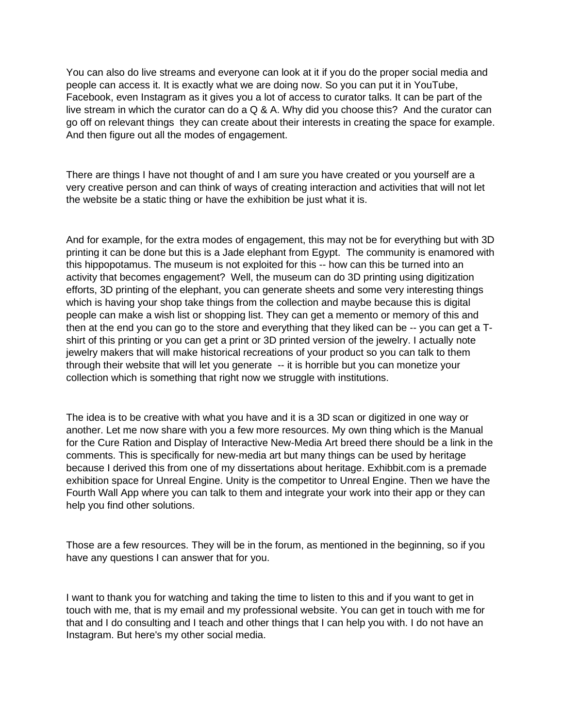You can also do live streams and everyone can look at it if you do the proper social media and people can access it. It is exactly what we are doing now. So you can put it in YouTube, Facebook, even Instagram as it gives you a lot of access to curator talks. It can be part of the live stream in which the curator can do a Q & A. Why did you choose this? And the curator can go off on relevant things they can create about their interests in creating the space for example. And then figure out all the modes of engagement.

There are things I have not thought of and I am sure you have created or you yourself are a very creative person and can think of ways of creating interaction and activities that will not let the website be a static thing or have the exhibition be just what it is.

And for example, for the extra modes of engagement, this may not be for everything but with 3D printing it can be done but this is a Jade elephant from Egypt. The community is enamored with this hippopotamus. The museum is not exploited for this -- how can this be turned into an activity that becomes engagement? Well, the museum can do 3D printing using digitization efforts, 3D printing of the elephant, you can generate sheets and some very interesting things which is having your shop take things from the collection and maybe because this is digital people can make a wish list or shopping list. They can get a memento or memory of this and then at the end you can go to the store and everything that they liked can be -- you can get a Tshirt of this printing or you can get a print or 3D printed version of the jewelry. I actually note jewelry makers that will make historical recreations of your product so you can talk to them through their website that will let you generate -- it is horrible but you can monetize your collection which is something that right now we struggle with institutions.

The idea is to be creative with what you have and it is a 3D scan or digitized in one way or another. Let me now share with you a few more resources. My own thing which is the Manual for the Cure Ration and Display of Interactive New-Media Art breed there should be a link in the comments. This is specifically for new-media art but many things can be used by heritage because I derived this from one of my dissertations about heritage. Exhibbit.com is a premade exhibition space for Unreal Engine. Unity is the competitor to Unreal Engine. Then we have the Fourth Wall App where you can talk to them and integrate your work into their app or they can help you find other solutions.

Those are a few resources. They will be in the forum, as mentioned in the beginning, so if you have any questions I can answer that for you.

I want to thank you for watching and taking the time to listen to this and if you want to get in touch with me, that is my email and my professional website. You can get in touch with me for that and I do consulting and I teach and other things that I can help you with. I do not have an Instagram. But here's my other social media.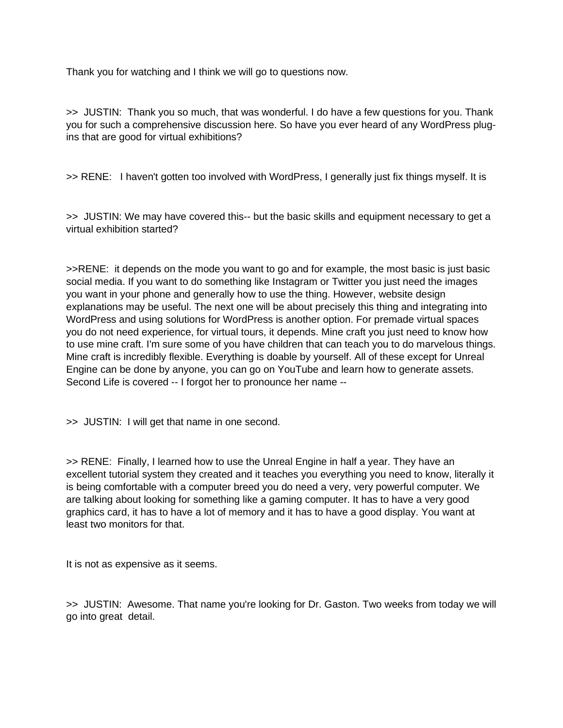Thank you for watching and I think we will go to questions now.

>> JUSTIN: Thank you so much, that was wonderful. I do have a few questions for you. Thank you for such a comprehensive discussion here. So have you ever heard of any WordPress plugins that are good for virtual exhibitions?

>> RENE: I haven't gotten too involved with WordPress, I generally just fix things myself. It is

>> JUSTIN: We may have covered this-- but the basic skills and equipment necessary to get a virtual exhibition started?

>>RENE: it depends on the mode you want to go and for example, the most basic is just basic social media. If you want to do something like Instagram or Twitter you just need the images you want in your phone and generally how to use the thing. However, website design explanations may be useful. The next one will be about precisely this thing and integrating into WordPress and using solutions for WordPress is another option. For premade virtual spaces you do not need experience, for virtual tours, it depends. Mine craft you just need to know how to use mine craft. I'm sure some of you have children that can teach you to do marvelous things. Mine craft is incredibly flexible. Everything is doable by yourself. All of these except for Unreal Engine can be done by anyone, you can go on YouTube and learn how to generate assets. Second Life is covered -- I forgot her to pronounce her name --

>> JUSTIN: I will get that name in one second.

>> RENE: Finally, I learned how to use the Unreal Engine in half a year. They have an excellent tutorial system they created and it teaches you everything you need to know, literally it is being comfortable with a computer breed you do need a very, very powerful computer. We are talking about looking for something like a gaming computer. It has to have a very good graphics card, it has to have a lot of memory and it has to have a good display. You want at least two monitors for that.

It is not as expensive as it seems.

>> JUSTIN: Awesome. That name you're looking for Dr. Gaston. Two weeks from today we will go into great detail.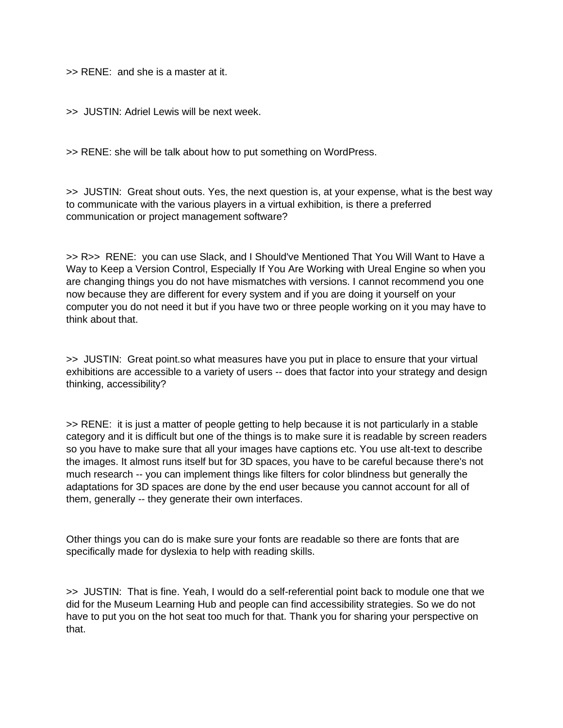>> RENE: and she is a master at it.

>> JUSTIN: Adriel Lewis will be next week.

>> RENE: she will be talk about how to put something on WordPress.

>> JUSTIN: Great shout outs. Yes, the next question is, at your expense, what is the best way to communicate with the various players in a virtual exhibition, is there a preferred communication or project management software?

>> R>> RENE: you can use Slack, and I Should've Mentioned That You Will Want to Have a Way to Keep a Version Control, Especially If You Are Working with Ureal Engine so when you are changing things you do not have mismatches with versions. I cannot recommend you one now because they are different for every system and if you are doing it yourself on your computer you do not need it but if you have two or three people working on it you may have to think about that.

>> JUSTIN: Great point.so what measures have you put in place to ensure that your virtual exhibitions are accessible to a variety of users -- does that factor into your strategy and design thinking, accessibility?

>> RENE: it is just a matter of people getting to help because it is not particularly in a stable category and it is difficult but one of the things is to make sure it is readable by screen readers so you have to make sure that all your images have captions etc. You use alt-text to describe the images. It almost runs itself but for 3D spaces, you have to be careful because there's not much research -- you can implement things like filters for color blindness but generally the adaptations for 3D spaces are done by the end user because you cannot account for all of them, generally -- they generate their own interfaces.

Other things you can do is make sure your fonts are readable so there are fonts that are specifically made for dyslexia to help with reading skills.

>> JUSTIN: That is fine. Yeah, I would do a self-referential point back to module one that we did for the Museum Learning Hub and people can find accessibility strategies. So we do not have to put you on the hot seat too much for that. Thank you for sharing your perspective on that.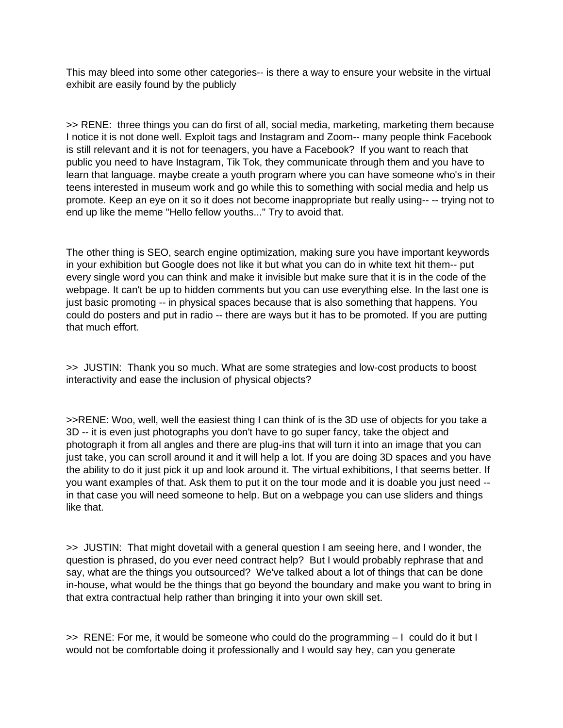This may bleed into some other categories-- is there a way to ensure your website in the virtual exhibit are easily found by the publicly

>> RENE: three things you can do first of all, social media, marketing, marketing them because I notice it is not done well. Exploit tags and Instagram and Zoom-- many people think Facebook is still relevant and it is not for teenagers, you have a Facebook? If you want to reach that public you need to have Instagram, Tik Tok, they communicate through them and you have to learn that language. maybe create a youth program where you can have someone who's in their teens interested in museum work and go while this to something with social media and help us promote. Keep an eye on it so it does not become inappropriate but really using-- -- trying not to end up like the meme "Hello fellow youths..." Try to avoid that.

The other thing is SEO, search engine optimization, making sure you have important keywords in your exhibition but Google does not like it but what you can do in white text hit them-- put every single word you can think and make it invisible but make sure that it is in the code of the webpage. It can't be up to hidden comments but you can use everything else. In the last one is just basic promoting -- in physical spaces because that is also something that happens. You could do posters and put in radio -- there are ways but it has to be promoted. If you are putting that much effort.

>> JUSTIN: Thank you so much. What are some strategies and low-cost products to boost interactivity and ease the inclusion of physical objects?

>>RENE: Woo, well, well the easiest thing I can think of is the 3D use of objects for you take a 3D -- it is even just photographs you don't have to go super fancy, take the object and photograph it from all angles and there are plug-ins that will turn it into an image that you can just take, you can scroll around it and it will help a lot. If you are doing 3D spaces and you have the ability to do it just pick it up and look around it. The virtual exhibitions, l that seems better. If you want examples of that. Ask them to put it on the tour mode and it is doable you just need - in that case you will need someone to help. But on a webpage you can use sliders and things like that.

>> JUSTIN: That might dovetail with a general question I am seeing here, and I wonder, the question is phrased, do you ever need contract help? But I would probably rephrase that and say, what are the things you outsourced? We've talked about a lot of things that can be done in-house, what would be the things that go beyond the boundary and make you want to bring in that extra contractual help rather than bringing it into your own skill set.

>> RENE: For me, it would be someone who could do the programming – I could do it but I would not be comfortable doing it professionally and I would say hey, can you generate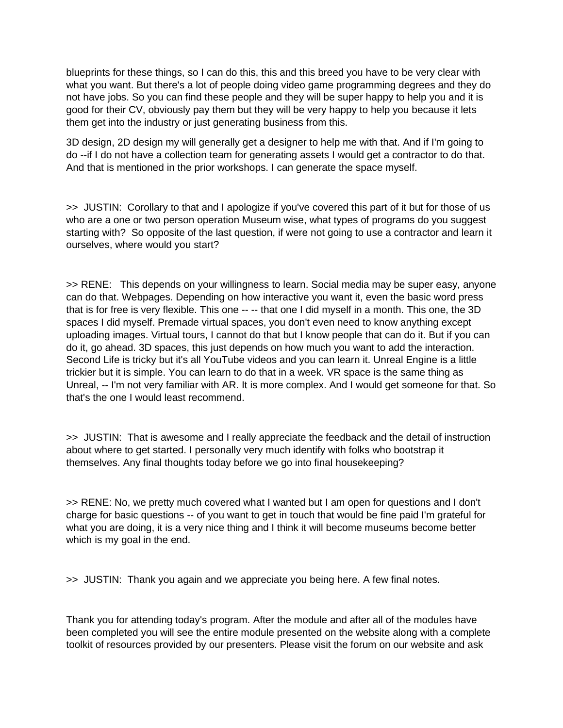blueprints for these things, so I can do this, this and this breed you have to be very clear with what you want. But there's a lot of people doing video game programming degrees and they do not have jobs. So you can find these people and they will be super happy to help you and it is good for their CV, obviously pay them but they will be very happy to help you because it lets them get into the industry or just generating business from this.

3D design, 2D design my will generally get a designer to help me with that. And if I'm going to do --if I do not have a collection team for generating assets I would get a contractor to do that. And that is mentioned in the prior workshops. I can generate the space myself.

>> JUSTIN: Corollary to that and I apologize if you've covered this part of it but for those of us who are a one or two person operation Museum wise, what types of programs do you suggest starting with? So opposite of the last question, if were not going to use a contractor and learn it ourselves, where would you start?

>> RENE: This depends on your willingness to learn. Social media may be super easy, anyone can do that. Webpages. Depending on how interactive you want it, even the basic word press that is for free is very flexible. This one -- -- that one I did myself in a month. This one, the 3D spaces I did myself. Premade virtual spaces, you don't even need to know anything except uploading images. Virtual tours, I cannot do that but I know people that can do it. But if you can do it, go ahead. 3D spaces, this just depends on how much you want to add the interaction. Second Life is tricky but it's all YouTube videos and you can learn it. Unreal Engine is a little trickier but it is simple. You can learn to do that in a week. VR space is the same thing as Unreal, -- I'm not very familiar with AR. It is more complex. And I would get someone for that. So that's the one I would least recommend.

>> JUSTIN: That is awesome and I really appreciate the feedback and the detail of instruction about where to get started. I personally very much identify with folks who bootstrap it themselves. Any final thoughts today before we go into final housekeeping?

>> RENE: No, we pretty much covered what I wanted but I am open for questions and I don't charge for basic questions -- of you want to get in touch that would be fine paid I'm grateful for what you are doing, it is a very nice thing and I think it will become museums become better which is my goal in the end.

>> JUSTIN: Thank you again and we appreciate you being here. A few final notes.

Thank you for attending today's program. After the module and after all of the modules have been completed you will see the entire module presented on the website along with a complete toolkit of resources provided by our presenters. Please visit the forum on our website and ask